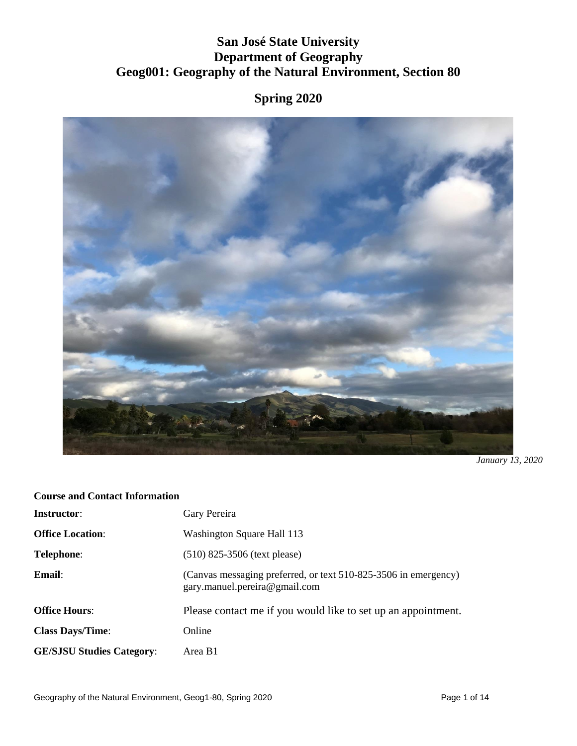# **San José State University Department of Geography Geog001: Geography of the Natural Environment, Section 80**

# **Spring 2020**



*January 13, 2020*

## **Course and Contact Information**

| <b>Instructor:</b>               | Gary Pereira                                                                                     |
|----------------------------------|--------------------------------------------------------------------------------------------------|
| <b>Office Location:</b>          | Washington Square Hall 113                                                                       |
| <b>Telephone:</b>                | $(510)$ 825-3506 (text please)                                                                   |
| Email:                           | (Canvas messaging preferred, or text 510-825-3506 in emergency)<br>gary.manuel.pereira@gmail.com |
| <b>Office Hours:</b>             | Please contact me if you would like to set up an appointment.                                    |
| <b>Class Days/Time:</b>          | Online                                                                                           |
| <b>GE/SJSU Studies Category:</b> | Area B1                                                                                          |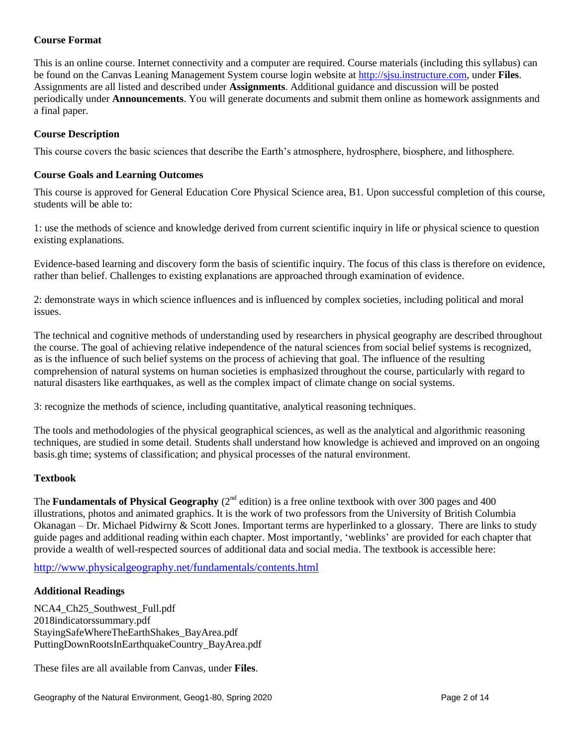## **Course Format**

This is an online course. Internet connectivity and a computer are required. Course materials (including this syllabus) can be found on the Canvas Leaning Management System course login website at [http://sjsu.instructure.com,](http://sjsu.instructure.com/) under **Files**. Assignments are all listed and described under **Assignments**. Additional guidance and discussion will be posted periodically under **Announcements**. You will generate documents and submit them online as homework assignments and a final paper.

#### **Course Description**

This course covers the basic sciences that describe the Earth's atmosphere, hydrosphere, biosphere, and lithosphere.

#### **Course Goals and Learning Outcomes**

This course is approved for General Education Core Physical Science area, B1. Upon successful completion of this course, students will be able to:

1: use the methods of science and knowledge derived from current scientific inquiry in life or physical science to question existing explanations.

Evidence-based learning and discovery form the basis of scientific inquiry. The focus of this class is therefore on evidence, rather than belief. Challenges to existing explanations are approached through examination of evidence.

2: demonstrate ways in which science influences and is influenced by complex societies, including political and moral issues.

The technical and cognitive methods of understanding used by researchers in physical geography are described throughout the course. The goal of achieving relative independence of the natural sciences from social belief systems is recognized, as is the influence of such belief systems on the process of achieving that goal. The influence of the resulting comprehension of natural systems on human societies is emphasized throughout the course, particularly with regard to natural disasters like earthquakes, as well as the complex impact of climate change on social systems.

3: recognize the methods of science, including quantitative, analytical reasoning techniques.

The tools and methodologies of the physical geographical sciences, as well as the analytical and algorithmic reasoning techniques, are studied in some detail. Students shall understand how knowledge is achieved and improved on an ongoing basis.gh time; systems of classification; and physical processes of the natural environment.

#### **Textbook**

The **Fundamentals of Physical Geography** ( $2<sup>nd</sup>$  edition) is a free online textbook with over 300 pages and 400 illustrations, photos and animated graphics. It is the work of two professors from the University of British Columbia Okanagan – Dr. Michael Pidwirny & Scott Jones. Important terms are hyperlinked to a glossary. There are links to study guide pages and additional reading within each chapter. Most importantly, 'weblinks' are provided for each chapter that provide a wealth of well-respected sources of additional data and social media. The textbook is accessible here:

<http://www.physicalgeography.net/fundamentals/contents.html>

#### **Additional Readings**

NCA4\_Ch25\_Southwest\_Full.pdf 2018indicatorssummary.pdf StayingSafeWhereTheEarthShakes\_BayArea.pdf PuttingDownRootsInEarthquakeCountry\_BayArea.pdf

These files are all available from Canvas, under **Files**.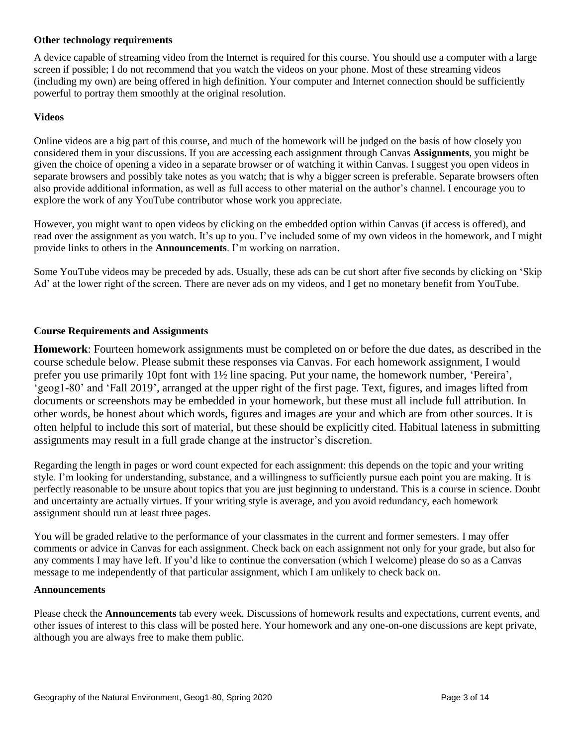#### **Other technology requirements**

A device capable of streaming video from the Internet is required for this course. You should use a computer with a large screen if possible; I do not recommend that you watch the videos on your phone. Most of these streaming videos (including my own) are being offered in high definition. Your computer and Internet connection should be sufficiently powerful to portray them smoothly at the original resolution.

#### **Videos**

Online videos are a big part of this course, and much of the homework will be judged on the basis of how closely you considered them in your discussions. If you are accessing each assignment through Canvas **Assignments**, you might be given the choice of opening a video in a separate browser or of watching it within Canvas. I suggest you open videos in separate browsers and possibly take notes as you watch; that is why a bigger screen is preferable. Separate browsers often also provide additional information, as well as full access to other material on the author's channel. I encourage you to explore the work of any YouTube contributor whose work you appreciate.

However, you might want to open videos by clicking on the embedded option within Canvas (if access is offered), and read over the assignment as you watch. It's up to you. I've included some of my own videos in the homework, and I might provide links to others in the **Announcements**. I'm working on narration.

Some YouTube videos may be preceded by ads. Usually, these ads can be cut short after five seconds by clicking on 'Skip Ad' at the lower right of the screen. There are never ads on my videos, and I get no monetary benefit from YouTube.

#### **Course Requirements and Assignments**

**Homework**: Fourteen homework assignments must be completed on or before the due dates, as described in the course schedule below. Please submit these responses via Canvas. For each homework assignment, I would prefer you use primarily 10pt font with 1½ line spacing. Put your name, the homework number, 'Pereira', 'geog1-80' and 'Fall 2019', arranged at the upper right of the first page. Text, figures, and images lifted from documents or screenshots may be embedded in your homework, but these must all include full attribution. In other words, be honest about which words, figures and images are your and which are from other sources. It is often helpful to include this sort of material, but these should be explicitly cited. Habitual lateness in submitting assignments may result in a full grade change at the instructor's discretion.

Regarding the length in pages or word count expected for each assignment: this depends on the topic and your writing style. I'm looking for understanding, substance, and a willingness to sufficiently pursue each point you are making. It is perfectly reasonable to be unsure about topics that you are just beginning to understand. This is a course in science. Doubt and uncertainty are actually virtues. If your writing style is average, and you avoid redundancy, each homework assignment should run at least three pages.

You will be graded relative to the performance of your classmates in the current and former semesters. I may offer comments or advice in Canvas for each assignment. Check back on each assignment not only for your grade, but also for any comments I may have left. If you'd like to continue the conversation (which I welcome) please do so as a Canvas message to me independently of that particular assignment, which I am unlikely to check back on.

#### **Announcements**

Please check the **Announcements** tab every week. Discussions of homework results and expectations, current events, and other issues of interest to this class will be posted here. Your homework and any one-on-one discussions are kept private, although you are always free to make them public.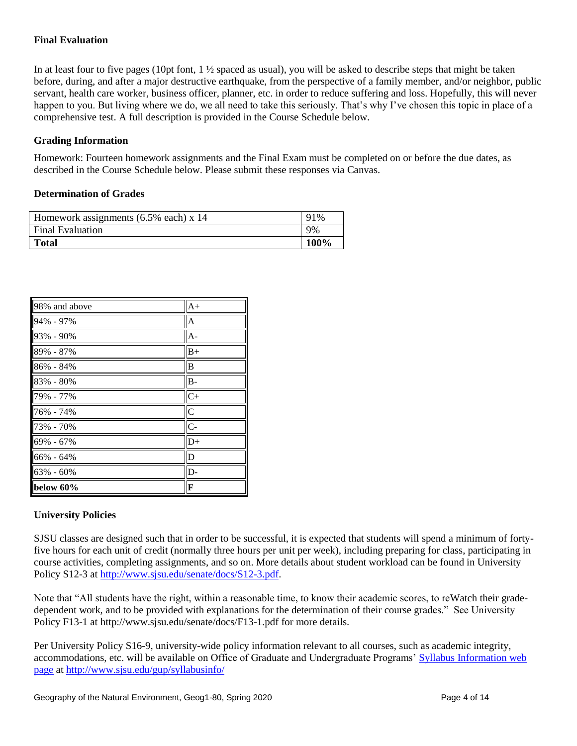## **Final Evaluation**

In at least four to five pages (10pt font,  $1\frac{1}{2}$  spaced as usual), you will be asked to describe steps that might be taken before, during, and after a major destructive earthquake, from the perspective of a family member, and/or neighbor, public servant, health care worker, business officer, planner, etc. in order to reduce suffering and loss. Hopefully, this will never happen to you. But living where we do, we all need to take this seriously. That's why I've chosen this topic in place of a comprehensive test. A full description is provided in the Course Schedule below.

#### **Grading Information**

Homework: Fourteen homework assignments and the Final Exam must be completed on or before the due dates, as described in the Course Schedule below. Please submit these responses via Canvas.

#### **Determination of Grades**

| Homework assignments $(6.5\%$ each) x 14 |      |
|------------------------------------------|------|
| <b>Final Evaluation</b>                  | 9%   |
| <b>Total</b>                             | 100% |

| 98% and above | $A+$                    |
|---------------|-------------------------|
| 94% - 97%     | $\overline{A}$          |
| 93% - 90%     | $A -$                   |
| 89% - 87%     | $B+$                    |
| 86% - 84%     | B                       |
| 83% - 80%     | $B -$                   |
| 79% - 77%     | $C+$                    |
| 76% - 74%     | $\overline{\mathsf{C}}$ |
| 73% - 70%     | $\overline{C}$          |
| 69% - 67%     | $D+$                    |
| 66% - 64%     | D                       |
| 63% - 60%     | D-                      |
| below 60%     | F                       |

#### **University Policies**

SJSU classes are designed such that in order to be successful, it is expected that students will spend a minimum of fortyfive hours for each unit of credit (normally three hours per unit per week), including preparing for class, participating in course activities, completing assignments, and so on. More details about student workload can be found in University Policy S12-3 at [http://www.sjsu.edu/senate/docs/S12-3.pdf.](http://www.sjsu.edu/senate/docs/S12-3.pdf)

Note that "All students have the right, within a reasonable time, to know their academic scores, to reWatch their gradedependent work, and to be provided with explanations for the determination of their course grades." See University Policy F13-1 at http://www.sjsu.edu/senate/docs/F13-1.pdf for more details.

Per University Policy S16-9, university-wide policy information relevant to all courses, such as academic integrity, accommodations, etc. will be available on Office of Graduate and Undergraduate Programs' [Syllabus Information web](http://www.sjsu.edu/gup/syllabusinfo/)  [page](http://www.sjsu.edu/gup/syllabusinfo/) at<http://www.sjsu.edu/gup/syllabusinfo/>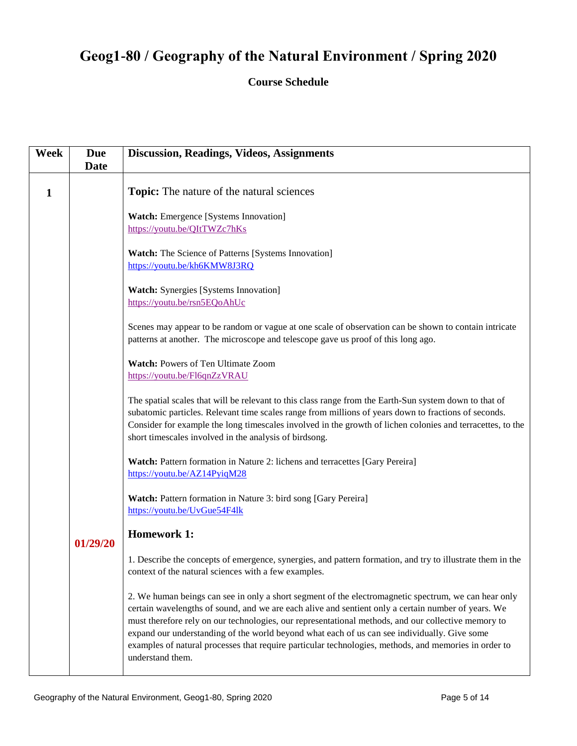# **Geog1-80 / Geography of the Natural Environment / Spring 2020**

## **Course Schedule**

| <b>Week</b> | <b>Due</b><br><b>Date</b> | <b>Discussion, Readings, Videos, Assignments</b>                                                                                                                                                                                                                                                                                                                                                                                                                                                                                                |
|-------------|---------------------------|-------------------------------------------------------------------------------------------------------------------------------------------------------------------------------------------------------------------------------------------------------------------------------------------------------------------------------------------------------------------------------------------------------------------------------------------------------------------------------------------------------------------------------------------------|
| 1           |                           | <b>Topic:</b> The nature of the natural sciences                                                                                                                                                                                                                                                                                                                                                                                                                                                                                                |
|             |                           | <b>Watch:</b> Emergence [Systems Innovation]<br>https://youtu.be/QItTWZc7hKs                                                                                                                                                                                                                                                                                                                                                                                                                                                                    |
|             |                           | Watch: The Science of Patterns [Systems Innovation]<br>https://youtu.be/kh6KMW8J3RQ                                                                                                                                                                                                                                                                                                                                                                                                                                                             |
|             |                           | <b>Watch:</b> Synergies [Systems Innovation]<br>https://youtu.be/rsn5EQoAhUc                                                                                                                                                                                                                                                                                                                                                                                                                                                                    |
|             |                           | Scenes may appear to be random or vague at one scale of observation can be shown to contain intricate<br>patterns at another. The microscope and telescope gave us proof of this long ago.                                                                                                                                                                                                                                                                                                                                                      |
|             |                           | <b>Watch: Powers of Ten Ultimate Zoom</b><br>https://youtu.be/Fl6qnZzVRAU                                                                                                                                                                                                                                                                                                                                                                                                                                                                       |
|             |                           | The spatial scales that will be relevant to this class range from the Earth-Sun system down to that of<br>subatomic particles. Relevant time scales range from millions of years down to fractions of seconds.<br>Consider for example the long timescales involved in the growth of lichen colonies and terracettes, to the<br>short timescales involved in the analysis of birdsong.                                                                                                                                                          |
|             |                           | Watch: Pattern formation in Nature 2: lichens and terracettes [Gary Pereira]<br>https://youtu.be/AZ14PyiqM28                                                                                                                                                                                                                                                                                                                                                                                                                                    |
|             |                           | Watch: Pattern formation in Nature 3: bird song [Gary Pereira]<br>https://youtu.be/UvGue54F4lk                                                                                                                                                                                                                                                                                                                                                                                                                                                  |
|             | 01/29/20                  | <b>Homework 1:</b>                                                                                                                                                                                                                                                                                                                                                                                                                                                                                                                              |
|             |                           | 1. Describe the concepts of emergence, synergies, and pattern formation, and try to illustrate them in the<br>context of the natural sciences with a few examples.                                                                                                                                                                                                                                                                                                                                                                              |
|             |                           | 2. We human beings can see in only a short segment of the electromagnetic spectrum, we can hear only<br>certain wavelengths of sound, and we are each alive and sentient only a certain number of years. We<br>must therefore rely on our technologies, our representational methods, and our collective memory to<br>expand our understanding of the world beyond what each of us can see individually. Give some<br>examples of natural processes that require particular technologies, methods, and memories in order to<br>understand them. |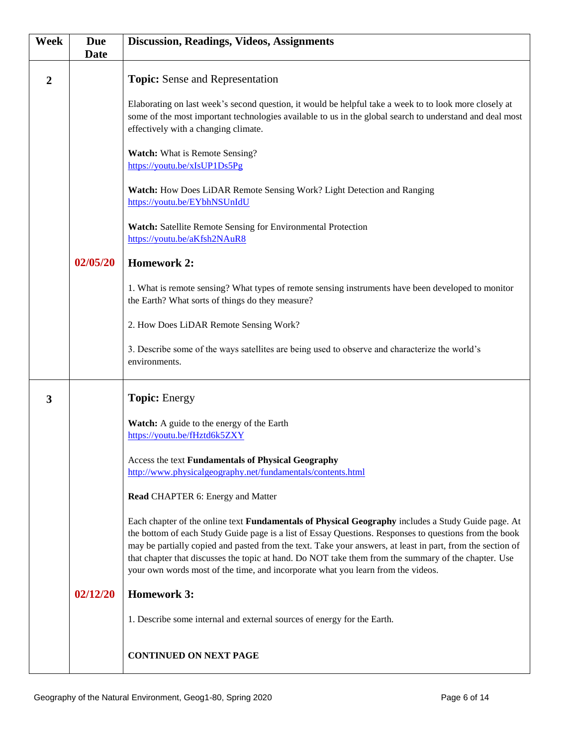| Week | <b>Due</b><br><b>Date</b> | <b>Discussion, Readings, Videos, Assignments</b>                                                                                                                                                                                                                                                                                                                                                                                                                                                                       |
|------|---------------------------|------------------------------------------------------------------------------------------------------------------------------------------------------------------------------------------------------------------------------------------------------------------------------------------------------------------------------------------------------------------------------------------------------------------------------------------------------------------------------------------------------------------------|
| 2    |                           | Topic: Sense and Representation                                                                                                                                                                                                                                                                                                                                                                                                                                                                                        |
|      |                           | Elaborating on last week's second question, it would be helpful take a week to to look more closely at<br>some of the most important technologies available to us in the global search to understand and deal most<br>effectively with a changing climate.                                                                                                                                                                                                                                                             |
|      |                           | <b>Watch:</b> What is Remote Sensing?<br>https://youtu.be/xIsUP1Ds5Pg                                                                                                                                                                                                                                                                                                                                                                                                                                                  |
|      |                           | Watch: How Does LiDAR Remote Sensing Work? Light Detection and Ranging<br>https://youtu.be/EYbhNSUnIdU                                                                                                                                                                                                                                                                                                                                                                                                                 |
|      |                           | Watch: Satellite Remote Sensing for Environmental Protection<br>https://youtu.be/aKfsh2NAuR8                                                                                                                                                                                                                                                                                                                                                                                                                           |
|      | 02/05/20                  | <b>Homework 2:</b>                                                                                                                                                                                                                                                                                                                                                                                                                                                                                                     |
|      |                           | 1. What is remote sensing? What types of remote sensing instruments have been developed to monitor<br>the Earth? What sorts of things do they measure?                                                                                                                                                                                                                                                                                                                                                                 |
|      |                           | 2. How Does LiDAR Remote Sensing Work?                                                                                                                                                                                                                                                                                                                                                                                                                                                                                 |
|      |                           | 3. Describe some of the ways satellites are being used to observe and characterize the world's<br>environments.                                                                                                                                                                                                                                                                                                                                                                                                        |
| 3    |                           | <b>Topic: Energy</b>                                                                                                                                                                                                                                                                                                                                                                                                                                                                                                   |
|      |                           | Watch: A guide to the energy of the Earth<br>https://youtu.be/fHztd6k5ZXY                                                                                                                                                                                                                                                                                                                                                                                                                                              |
|      |                           | Access the text Fundamentals of Physical Geography<br>http://www.physicalgeography.net/fundamentals/contents.html                                                                                                                                                                                                                                                                                                                                                                                                      |
|      |                           | Read CHAPTER 6: Energy and Matter                                                                                                                                                                                                                                                                                                                                                                                                                                                                                      |
|      |                           | Each chapter of the online text Fundamentals of Physical Geography includes a Study Guide page. At<br>the bottom of each Study Guide page is a list of Essay Questions. Responses to questions from the book<br>may be partially copied and pasted from the text. Take your answers, at least in part, from the section of<br>that chapter that discusses the topic at hand. Do NOT take them from the summary of the chapter. Use<br>your own words most of the time, and incorporate what you learn from the videos. |
|      | 02/12/20                  | <b>Homework 3:</b>                                                                                                                                                                                                                                                                                                                                                                                                                                                                                                     |
|      |                           | 1. Describe some internal and external sources of energy for the Earth.                                                                                                                                                                                                                                                                                                                                                                                                                                                |
|      |                           | <b>CONTINUED ON NEXT PAGE</b>                                                                                                                                                                                                                                                                                                                                                                                                                                                                                          |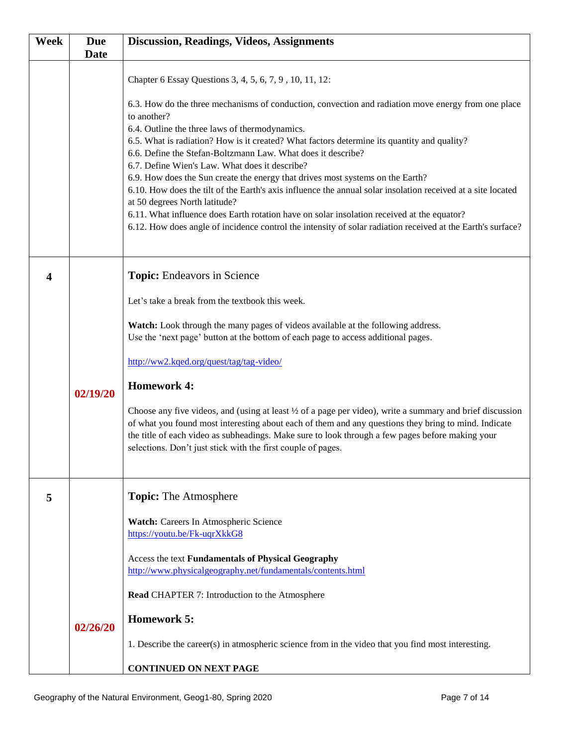| Week | <b>Due</b>  | <b>Discussion, Readings, Videos, Assignments</b>                                                                                                                 |
|------|-------------|------------------------------------------------------------------------------------------------------------------------------------------------------------------|
|      | <b>Date</b> |                                                                                                                                                                  |
|      |             | Chapter 6 Essay Questions 3, 4, 5, 6, 7, 9, 10, 11, 12:                                                                                                          |
|      |             | 6.3. How do the three mechanisms of conduction, convection and radiation move energy from one place                                                              |
|      |             | to another?<br>6.4. Outline the three laws of thermodynamics.                                                                                                    |
|      |             | 6.5. What is radiation? How is it created? What factors determine its quantity and quality?                                                                      |
|      |             | 6.6. Define the Stefan-Boltzmann Law. What does it describe?                                                                                                     |
|      |             | 6.7. Define Wien's Law. What does it describe?<br>6.9. How does the Sun create the energy that drives most systems on the Earth?                                 |
|      |             | 6.10. How does the tilt of the Earth's axis influence the annual solar insolation received at a site located                                                     |
|      |             | at 50 degrees North latitude?<br>6.11. What influence does Earth rotation have on solar insolation received at the equator?                                      |
|      |             | 6.12. How does angle of incidence control the intensity of solar radiation received at the Earth's surface?                                                      |
|      |             |                                                                                                                                                                  |
| 4    |             | <b>Topic:</b> Endeavors in Science                                                                                                                               |
|      |             |                                                                                                                                                                  |
|      |             | Let's take a break from the textbook this week.                                                                                                                  |
|      |             | Watch: Look through the many pages of videos available at the following address.                                                                                 |
|      |             | Use the 'next page' button at the bottom of each page to access additional pages.                                                                                |
|      |             | http://ww2.kqed.org/quest/tag/tag-video/                                                                                                                         |
|      | 02/19/20    | <b>Homework 4:</b>                                                                                                                                               |
|      |             | Choose any five videos, and (using at least 1/2 of a page per video), write a summary and brief discussion                                                       |
|      |             | of what you found most interesting about each of them and any questions they bring to mind. Indicate                                                             |
|      |             | the title of each video as subheadings. Make sure to look through a few pages before making your<br>selections. Don't just stick with the first couple of pages. |
|      |             |                                                                                                                                                                  |
|      |             |                                                                                                                                                                  |
| 5    |             | <b>Topic:</b> The Atmosphere                                                                                                                                     |
|      |             | Watch: Careers In Atmospheric Science                                                                                                                            |
|      |             | https://youtu.be/Fk-uqrXkkG8                                                                                                                                     |
|      |             | Access the text Fundamentals of Physical Geography                                                                                                               |
|      |             | http://www.physicalgeography.net/fundamentals/contents.html                                                                                                      |
|      |             | <b>Read CHAPTER 7: Introduction to the Atmosphere</b>                                                                                                            |
|      | 02/26/20    | <b>Homework 5:</b>                                                                                                                                               |
|      |             | 1. Describe the career(s) in atmospheric science from in the video that you find most interesting.                                                               |
|      |             | <b>CONTINUED ON NEXT PAGE</b>                                                                                                                                    |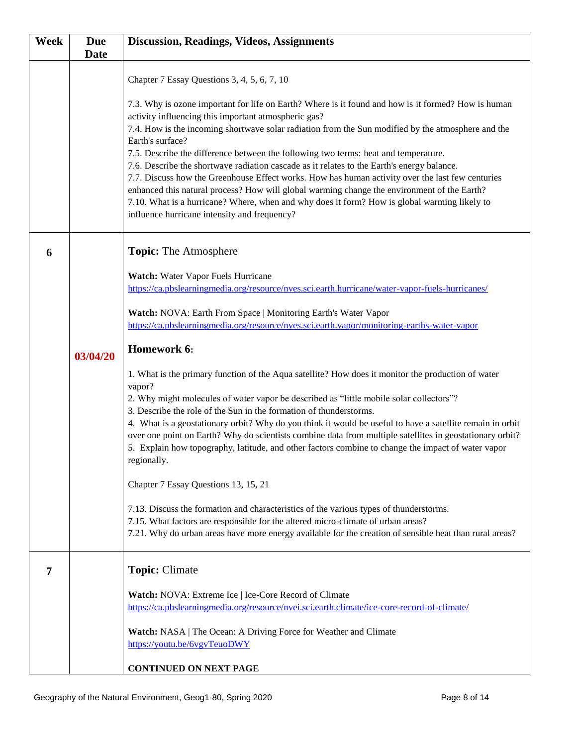| <b>Week</b> | <b>Due</b>  | <b>Discussion, Readings, Videos, Assignments</b>                                                                                                                                                                                                                                                                                                                                                                                                                                                                                                                                                                                                                                                                                                                                                                              |
|-------------|-------------|-------------------------------------------------------------------------------------------------------------------------------------------------------------------------------------------------------------------------------------------------------------------------------------------------------------------------------------------------------------------------------------------------------------------------------------------------------------------------------------------------------------------------------------------------------------------------------------------------------------------------------------------------------------------------------------------------------------------------------------------------------------------------------------------------------------------------------|
|             | <b>Date</b> |                                                                                                                                                                                                                                                                                                                                                                                                                                                                                                                                                                                                                                                                                                                                                                                                                               |
|             |             | Chapter 7 Essay Questions 3, 4, 5, 6, 7, 10                                                                                                                                                                                                                                                                                                                                                                                                                                                                                                                                                                                                                                                                                                                                                                                   |
|             |             | 7.3. Why is ozone important for life on Earth? Where is it found and how is it formed? How is human<br>activity influencing this important atmospheric gas?<br>7.4. How is the incoming shortwave solar radiation from the Sun modified by the atmosphere and the<br>Earth's surface?<br>7.5. Describe the difference between the following two terms: heat and temperature.<br>7.6. Describe the shortwave radiation cascade as it relates to the Earth's energy balance.<br>7.7. Discuss how the Greenhouse Effect works. How has human activity over the last few centuries<br>enhanced this natural process? How will global warming change the environment of the Earth?<br>7.10. What is a hurricane? Where, when and why does it form? How is global warming likely to<br>influence hurricane intensity and frequency? |
| 6           |             | <b>Topic:</b> The Atmosphere                                                                                                                                                                                                                                                                                                                                                                                                                                                                                                                                                                                                                                                                                                                                                                                                  |
|             |             | Watch: Water Vapor Fuels Hurricane                                                                                                                                                                                                                                                                                                                                                                                                                                                                                                                                                                                                                                                                                                                                                                                            |
|             |             | https://ca.pbslearningmedia.org/resource/nves.sci.earth.hurricane/water-vapor-fuels-hurricanes/                                                                                                                                                                                                                                                                                                                                                                                                                                                                                                                                                                                                                                                                                                                               |
|             |             | Watch: NOVA: Earth From Space   Monitoring Earth's Water Vapor<br>https://ca.pbslearningmedia.org/resource/nves.sci.earth.vapor/monitoring-earths-water-vapor                                                                                                                                                                                                                                                                                                                                                                                                                                                                                                                                                                                                                                                                 |
|             | 03/04/20    | Homework 6:                                                                                                                                                                                                                                                                                                                                                                                                                                                                                                                                                                                                                                                                                                                                                                                                                   |
|             |             | 1. What is the primary function of the Aqua satellite? How does it monitor the production of water<br>vapor?<br>2. Why might molecules of water vapor be described as "little mobile solar collectors"?<br>3. Describe the role of the Sun in the formation of thunderstorms.<br>4. What is a geostationary orbit? Why do you think it would be useful to have a satellite remain in orbit<br>over one point on Earth? Why do scientists combine data from multiple satellites in geostationary orbit?<br>5. Explain how topography, latitude, and other factors combine to change the impact of water vapor<br>regionally.                                                                                                                                                                                                   |
|             |             | Chapter 7 Essay Questions 13, 15, 21                                                                                                                                                                                                                                                                                                                                                                                                                                                                                                                                                                                                                                                                                                                                                                                          |
|             |             | 7.13. Discuss the formation and characteristics of the various types of thunderstorms.<br>7.15. What factors are responsible for the altered micro-climate of urban areas?<br>7.21. Why do urban areas have more energy available for the creation of sensible heat than rural areas?                                                                                                                                                                                                                                                                                                                                                                                                                                                                                                                                         |
| 7           |             | <b>Topic: Climate</b>                                                                                                                                                                                                                                                                                                                                                                                                                                                                                                                                                                                                                                                                                                                                                                                                         |
|             |             | Watch: NOVA: Extreme Ice   Ice-Core Record of Climate<br>https://ca.pbslearningmedia.org/resource/nvei.sci.earth.climate/ice-core-record-of-climate/                                                                                                                                                                                                                                                                                                                                                                                                                                                                                                                                                                                                                                                                          |
|             |             | Watch: NASA   The Ocean: A Driving Force for Weather and Climate<br>https://youtu.be/6vgvTeuoDWY                                                                                                                                                                                                                                                                                                                                                                                                                                                                                                                                                                                                                                                                                                                              |
|             |             | <b>CONTINUED ON NEXT PAGE</b>                                                                                                                                                                                                                                                                                                                                                                                                                                                                                                                                                                                                                                                                                                                                                                                                 |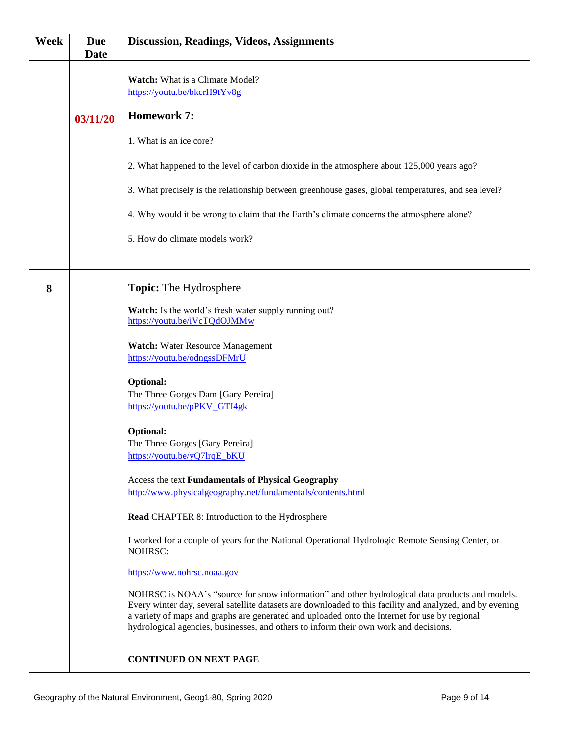| <b>Due</b><br><b>Date</b> | <b>Discussion, Readings, Videos, Assignments</b>                                                                                                                                                                                                                                                                                                                                                                                                                                                                                                                                                                                                                                                                                                                                                                                                                                                                                                                                                                                                                                                             |
|---------------------------|--------------------------------------------------------------------------------------------------------------------------------------------------------------------------------------------------------------------------------------------------------------------------------------------------------------------------------------------------------------------------------------------------------------------------------------------------------------------------------------------------------------------------------------------------------------------------------------------------------------------------------------------------------------------------------------------------------------------------------------------------------------------------------------------------------------------------------------------------------------------------------------------------------------------------------------------------------------------------------------------------------------------------------------------------------------------------------------------------------------|
| 03/11/20                  | <b>Watch:</b> What is a Climate Model?<br>https://youtu.be/bkcrH9tYv8g<br><b>Homework 7:</b><br>1. What is an ice core?<br>2. What happened to the level of carbon dioxide in the atmosphere about 125,000 years ago?<br>3. What precisely is the relationship between greenhouse gases, global temperatures, and sea level?                                                                                                                                                                                                                                                                                                                                                                                                                                                                                                                                                                                                                                                                                                                                                                                 |
|                           | 4. Why would it be wrong to claim that the Earth's climate concerns the atmosphere alone?<br>5. How do climate models work?                                                                                                                                                                                                                                                                                                                                                                                                                                                                                                                                                                                                                                                                                                                                                                                                                                                                                                                                                                                  |
|                           | <b>Topic:</b> The Hydrosphere<br>Watch: Is the world's fresh water supply running out?<br>https://youtu.be/iVcTQdOJMMw<br><b>Watch:</b> Water Resource Management<br>https://youtu.be/odngssDFMrU<br><b>Optional:</b><br>The Three Gorges Dam [Gary Pereira]<br>https://youtu.be/pPKV_GTI4gk<br>Optional:<br>The Three Gorges [Gary Pereira]<br>https://youtu.be/yQ7lrqE_bKU<br>Access the text Fundamentals of Physical Geography<br>http://www.physicalgeography.net/fundamentals/contents.html<br>Read CHAPTER 8: Introduction to the Hydrosphere<br>I worked for a couple of years for the National Operational Hydrologic Remote Sensing Center, or<br>NOHRSC:<br>https://www.nohrsc.noaa.gov<br>NOHRSC is NOAA's "source for snow information" and other hydrological data products and models.<br>Every winter day, several satellite datasets are downloaded to this facility and analyzed, and by evening<br>a variety of maps and graphs are generated and uploaded onto the Internet for use by regional<br>hydrological agencies, businesses, and others to inform their own work and decisions. |
|                           | <b>CONTINUED ON NEXT PAGE</b>                                                                                                                                                                                                                                                                                                                                                                                                                                                                                                                                                                                                                                                                                                                                                                                                                                                                                                                                                                                                                                                                                |
|                           |                                                                                                                                                                                                                                                                                                                                                                                                                                                                                                                                                                                                                                                                                                                                                                                                                                                                                                                                                                                                                                                                                                              |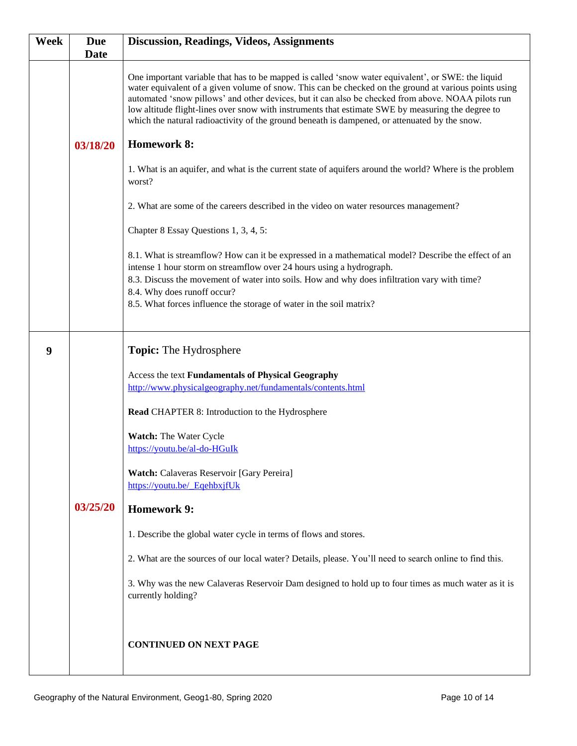| Week | <b>Due</b><br><b>Date</b> | <b>Discussion, Readings, Videos, Assignments</b>                                                                                                                                                                                                                                                                                                                                                                                                                                                                        |
|------|---------------------------|-------------------------------------------------------------------------------------------------------------------------------------------------------------------------------------------------------------------------------------------------------------------------------------------------------------------------------------------------------------------------------------------------------------------------------------------------------------------------------------------------------------------------|
|      |                           | One important variable that has to be mapped is called 'snow water equivalent', or SWE: the liquid<br>water equivalent of a given volume of snow. This can be checked on the ground at various points using<br>automated 'snow pillows' and other devices, but it can also be checked from above. NOAA pilots run<br>low altitude flight-lines over snow with instruments that estimate SWE by measuring the degree to<br>which the natural radioactivity of the ground beneath is dampened, or attenuated by the snow. |
|      | 03/18/20                  | <b>Homework 8:</b>                                                                                                                                                                                                                                                                                                                                                                                                                                                                                                      |
|      |                           | 1. What is an aquifer, and what is the current state of aquifers around the world? Where is the problem<br>worst?                                                                                                                                                                                                                                                                                                                                                                                                       |
|      |                           | 2. What are some of the careers described in the video on water resources management?                                                                                                                                                                                                                                                                                                                                                                                                                                   |
|      |                           | Chapter 8 Essay Questions 1, 3, 4, 5:                                                                                                                                                                                                                                                                                                                                                                                                                                                                                   |
|      |                           | 8.1. What is streamflow? How can it be expressed in a mathematical model? Describe the effect of an<br>intense 1 hour storm on streamflow over 24 hours using a hydrograph.<br>8.3. Discuss the movement of water into soils. How and why does infiltration vary with time?<br>8.4. Why does runoff occur?<br>8.5. What forces influence the storage of water in the soil matrix?                                                                                                                                       |
| 9    |                           | <b>Topic:</b> The Hydrosphere                                                                                                                                                                                                                                                                                                                                                                                                                                                                                           |
|      |                           | Access the text Fundamentals of Physical Geography<br>http://www.physicalgeography.net/fundamentals/contents.html                                                                                                                                                                                                                                                                                                                                                                                                       |
|      |                           | Read CHAPTER 8: Introduction to the Hydrosphere                                                                                                                                                                                                                                                                                                                                                                                                                                                                         |
|      |                           | Watch: The Water Cycle<br>https://youtu.be/al-do-HGuIk                                                                                                                                                                                                                                                                                                                                                                                                                                                                  |
|      |                           | Watch: Calaveras Reservoir [Gary Pereira]<br>https://youtu.be/ EqehbxjfUk                                                                                                                                                                                                                                                                                                                                                                                                                                               |
|      | 03/25/20                  | <b>Homework 9:</b>                                                                                                                                                                                                                                                                                                                                                                                                                                                                                                      |
|      |                           | 1. Describe the global water cycle in terms of flows and stores.                                                                                                                                                                                                                                                                                                                                                                                                                                                        |
|      |                           | 2. What are the sources of our local water? Details, please. You'll need to search online to find this.                                                                                                                                                                                                                                                                                                                                                                                                                 |
|      |                           | 3. Why was the new Calaveras Reservoir Dam designed to hold up to four times as much water as it is<br>currently holding?                                                                                                                                                                                                                                                                                                                                                                                               |
|      |                           | <b>CONTINUED ON NEXT PAGE</b>                                                                                                                                                                                                                                                                                                                                                                                                                                                                                           |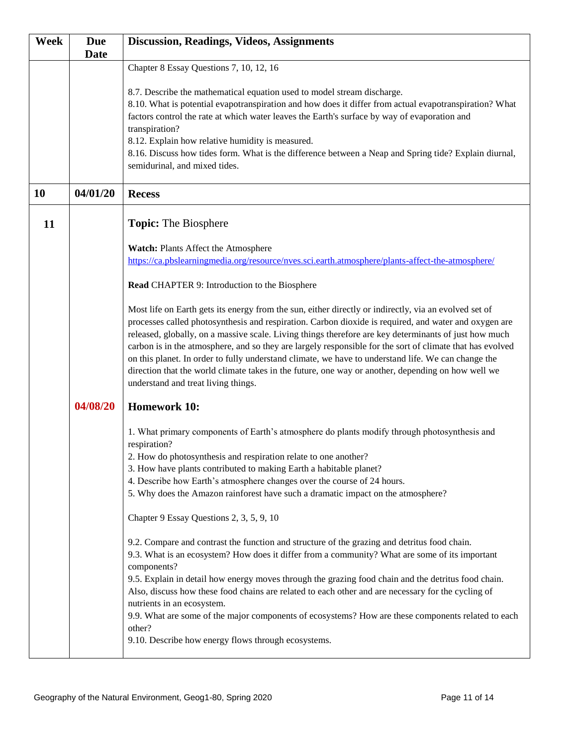| <b>Week</b> | <b>Due</b>  | <b>Discussion, Readings, Videos, Assignments</b>                                                                                                                                                                                                                                                                                                                                                                                                                                                                                                                                                                                                                                         |
|-------------|-------------|------------------------------------------------------------------------------------------------------------------------------------------------------------------------------------------------------------------------------------------------------------------------------------------------------------------------------------------------------------------------------------------------------------------------------------------------------------------------------------------------------------------------------------------------------------------------------------------------------------------------------------------------------------------------------------------|
|             | <b>Date</b> | Chapter 8 Essay Questions 7, 10, 12, 16                                                                                                                                                                                                                                                                                                                                                                                                                                                                                                                                                                                                                                                  |
|             |             | 8.7. Describe the mathematical equation used to model stream discharge.<br>8.10. What is potential evapotranspiration and how does it differ from actual evapotranspiration? What<br>factors control the rate at which water leaves the Earth's surface by way of evaporation and<br>transpiration?<br>8.12. Explain how relative humidity is measured.<br>8.16. Discuss how tides form. What is the difference between a Neap and Spring tide? Explain diurnal,<br>semidurinal, and mixed tides.                                                                                                                                                                                        |
| 10          | 04/01/20    | <b>Recess</b>                                                                                                                                                                                                                                                                                                                                                                                                                                                                                                                                                                                                                                                                            |
| 11          |             | <b>Topic:</b> The Biosphere                                                                                                                                                                                                                                                                                                                                                                                                                                                                                                                                                                                                                                                              |
|             |             | Watch: Plants Affect the Atmosphere<br>https://ca.pbslearningmedia.org/resource/nves.sci.earth.atmosphere/plants-affect-the-atmosphere/                                                                                                                                                                                                                                                                                                                                                                                                                                                                                                                                                  |
|             |             | Read CHAPTER 9: Introduction to the Biosphere                                                                                                                                                                                                                                                                                                                                                                                                                                                                                                                                                                                                                                            |
|             |             | Most life on Earth gets its energy from the sun, either directly or indirectly, via an evolved set of<br>processes called photosynthesis and respiration. Carbon dioxide is required, and water and oxygen are<br>released, globally, on a massive scale. Living things therefore are key determinants of just how much<br>carbon is in the atmosphere, and so they are largely responsible for the sort of climate that has evolved<br>on this planet. In order to fully understand climate, we have to understand life. We can change the<br>direction that the world climate takes in the future, one way or another, depending on how well we<br>understand and treat living things. |
|             | 04/08/20    | <b>Homework 10:</b>                                                                                                                                                                                                                                                                                                                                                                                                                                                                                                                                                                                                                                                                      |
|             |             | 1. What primary components of Earth's atmosphere do plants modify through photosynthesis and<br>respiration?<br>2. How do photosynthesis and respiration relate to one another?<br>3. How have plants contributed to making Earth a habitable planet?<br>4. Describe how Earth's atmosphere changes over the course of 24 hours.<br>5. Why does the Amazon rainforest have such a dramatic impact on the atmosphere?<br>Chapter 9 Essay Questions 2, 3, 5, 9, 10                                                                                                                                                                                                                         |
|             |             | 9.2. Compare and contrast the function and structure of the grazing and detritus food chain.<br>9.3. What is an ecosystem? How does it differ from a community? What are some of its important<br>components?<br>9.5. Explain in detail how energy moves through the grazing food chain and the detritus food chain.<br>Also, discuss how these food chains are related to each other and are necessary for the cycling of<br>nutrients in an ecosystem.<br>9.9. What are some of the major components of ecosystems? How are these components related to each<br>other?<br>9.10. Describe how energy flows through ecosystems.                                                          |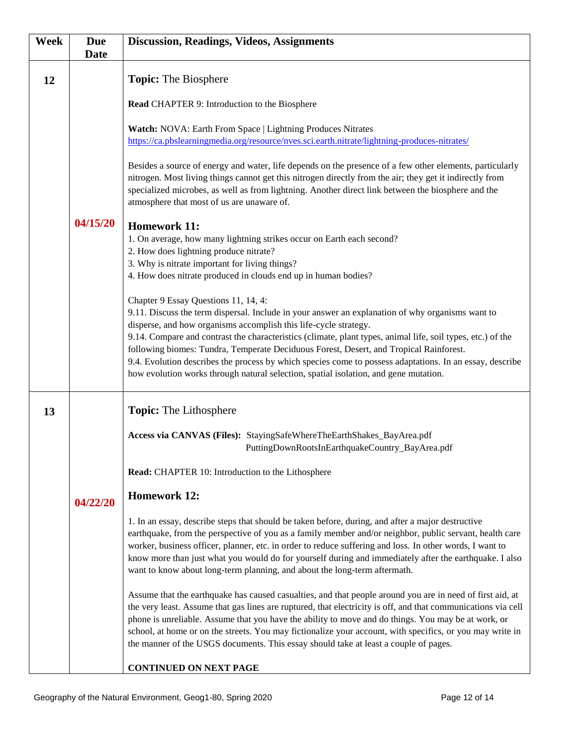| Week | <b>Due</b><br><b>Date</b> | <b>Discussion, Readings, Videos, Assignments</b>                                                                                                                                                                                                                                                                                                                                                                                                                                                                                       |
|------|---------------------------|----------------------------------------------------------------------------------------------------------------------------------------------------------------------------------------------------------------------------------------------------------------------------------------------------------------------------------------------------------------------------------------------------------------------------------------------------------------------------------------------------------------------------------------|
| 12   |                           | <b>Topic:</b> The Biosphere                                                                                                                                                                                                                                                                                                                                                                                                                                                                                                            |
|      |                           | Read CHAPTER 9: Introduction to the Biosphere                                                                                                                                                                                                                                                                                                                                                                                                                                                                                          |
|      |                           | Watch: NOVA: Earth From Space   Lightning Produces Nitrates<br>https://ca.pbslearningmedia.org/resource/nves.sci.earth.nitrate/lightning-produces-nitrates/                                                                                                                                                                                                                                                                                                                                                                            |
|      |                           | Besides a source of energy and water, life depends on the presence of a few other elements, particularly<br>nitrogen. Most living things cannot get this nitrogen directly from the air; they get it indirectly from<br>specialized microbes, as well as from lightning. Another direct link between the biosphere and the<br>atmosphere that most of us are unaware of.                                                                                                                                                               |
|      | 04/15/20                  | <b>Homework 11:</b>                                                                                                                                                                                                                                                                                                                                                                                                                                                                                                                    |
|      |                           | 1. On average, how many lightning strikes occur on Earth each second?<br>2. How does lightning produce nitrate?                                                                                                                                                                                                                                                                                                                                                                                                                        |
|      |                           | 3. Why is nitrate important for living things?                                                                                                                                                                                                                                                                                                                                                                                                                                                                                         |
|      |                           | 4. How does nitrate produced in clouds end up in human bodies?                                                                                                                                                                                                                                                                                                                                                                                                                                                                         |
|      |                           | Chapter 9 Essay Questions 11, 14, 4:<br>9.11. Discuss the term dispersal. Include in your answer an explanation of why organisms want to                                                                                                                                                                                                                                                                                                                                                                                               |
|      |                           | disperse, and how organisms accomplish this life-cycle strategy.                                                                                                                                                                                                                                                                                                                                                                                                                                                                       |
|      |                           | 9.14. Compare and contrast the characteristics (climate, plant types, animal life, soil types, etc.) of the<br>following biomes: Tundra, Temperate Deciduous Forest, Desert, and Tropical Rainforest.                                                                                                                                                                                                                                                                                                                                  |
|      |                           | 9.4. Evolution describes the process by which species come to possess adaptations. In an essay, describe<br>how evolution works through natural selection, spatial isolation, and gene mutation.                                                                                                                                                                                                                                                                                                                                       |
| 13   |                           | <b>Topic:</b> The Lithosphere                                                                                                                                                                                                                                                                                                                                                                                                                                                                                                          |
|      |                           | Access via CANVAS (Files): StayingSafeWhereTheEarthShakes_BayArea.pdf<br>PuttingDownRootsInEarthquakeCountry_BayArea.pdf                                                                                                                                                                                                                                                                                                                                                                                                               |
|      |                           | Read: CHAPTER 10: Introduction to the Lithosphere                                                                                                                                                                                                                                                                                                                                                                                                                                                                                      |
|      | 04/22/20                  | <b>Homework 12:</b>                                                                                                                                                                                                                                                                                                                                                                                                                                                                                                                    |
|      |                           | 1. In an essay, describe steps that should be taken before, during, and after a major destructive<br>earthquake, from the perspective of you as a family member and/or neighbor, public servant, health care<br>worker, business officer, planner, etc. in order to reduce suffering and loss. In other words, I want to<br>know more than just what you would do for yourself during and immediately after the earthquake. I also<br>want to know about long-term planning, and about the long-term aftermath.                        |
|      |                           | Assume that the earthquake has caused casualties, and that people around you are in need of first aid, at<br>the very least. Assume that gas lines are ruptured, that electricity is off, and that communications via cell<br>phone is unreliable. Assume that you have the ability to move and do things. You may be at work, or<br>school, at home or on the streets. You may fictionalize your account, with specifics, or you may write in<br>the manner of the USGS documents. This essay should take at least a couple of pages. |
|      |                           | <b>CONTINUED ON NEXT PAGE</b>                                                                                                                                                                                                                                                                                                                                                                                                                                                                                                          |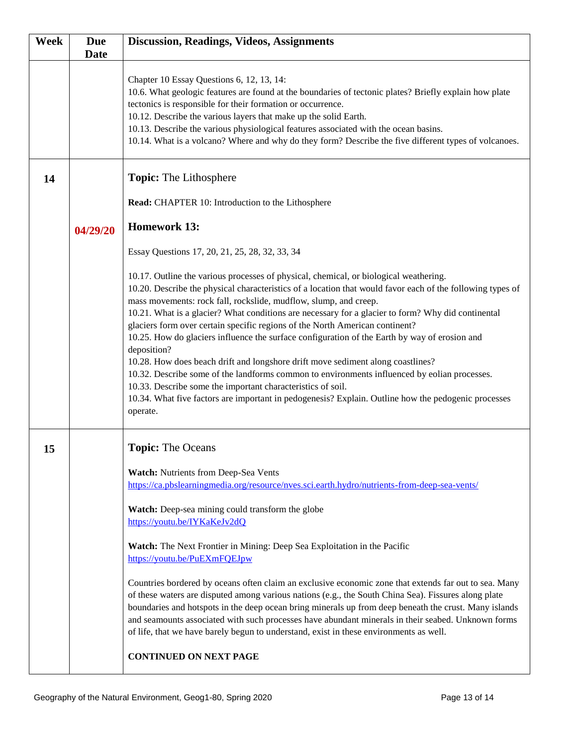| Week | <b>Due</b><br><b>Date</b> | <b>Discussion, Readings, Videos, Assignments</b>                                                                                                                                                                                                                                                                                                                                                                                                                                                                                                                                                                                                                                                                                                                                                                                                                                                                                                   |
|------|---------------------------|----------------------------------------------------------------------------------------------------------------------------------------------------------------------------------------------------------------------------------------------------------------------------------------------------------------------------------------------------------------------------------------------------------------------------------------------------------------------------------------------------------------------------------------------------------------------------------------------------------------------------------------------------------------------------------------------------------------------------------------------------------------------------------------------------------------------------------------------------------------------------------------------------------------------------------------------------|
|      |                           | Chapter 10 Essay Questions 6, 12, 13, 14:<br>10.6. What geologic features are found at the boundaries of tectonic plates? Briefly explain how plate<br>tectonics is responsible for their formation or occurrence.<br>10.12. Describe the various layers that make up the solid Earth.<br>10.13. Describe the various physiological features associated with the ocean basins.<br>10.14. What is a volcano? Where and why do they form? Describe the five different types of volcanoes.                                                                                                                                                                                                                                                                                                                                                                                                                                                            |
| 14   |                           | <b>Topic:</b> The Lithosphere                                                                                                                                                                                                                                                                                                                                                                                                                                                                                                                                                                                                                                                                                                                                                                                                                                                                                                                      |
|      |                           | Read: CHAPTER 10: Introduction to the Lithosphere                                                                                                                                                                                                                                                                                                                                                                                                                                                                                                                                                                                                                                                                                                                                                                                                                                                                                                  |
|      | 04/29/20                  | <b>Homework 13:</b>                                                                                                                                                                                                                                                                                                                                                                                                                                                                                                                                                                                                                                                                                                                                                                                                                                                                                                                                |
|      |                           | Essay Questions 17, 20, 21, 25, 28, 32, 33, 34                                                                                                                                                                                                                                                                                                                                                                                                                                                                                                                                                                                                                                                                                                                                                                                                                                                                                                     |
|      |                           | 10.17. Outline the various processes of physical, chemical, or biological weathering.<br>10.20. Describe the physical characteristics of a location that would favor each of the following types of<br>mass movements: rock fall, rockslide, mudflow, slump, and creep.<br>10.21. What is a glacier? What conditions are necessary for a glacier to form? Why did continental<br>glaciers form over certain specific regions of the North American continent?<br>10.25. How do glaciers influence the surface configuration of the Earth by way of erosion and<br>deposition?<br>10.28. How does beach drift and longshore drift move sediment along coastlines?<br>10.32. Describe some of the landforms common to environments influenced by eolian processes.<br>10.33. Describe some the important characteristics of soil.<br>10.34. What five factors are important in pedogenesis? Explain. Outline how the pedogenic processes<br>operate. |
| 15   |                           | <b>Topic:</b> The Oceans                                                                                                                                                                                                                                                                                                                                                                                                                                                                                                                                                                                                                                                                                                                                                                                                                                                                                                                           |
|      |                           | Watch: Nutrients from Deep-Sea Vents<br>https://ca.pbslearningmedia.org/resource/nves.sci.earth.hydro/nutrients-from-deep-sea-vents/                                                                                                                                                                                                                                                                                                                                                                                                                                                                                                                                                                                                                                                                                                                                                                                                               |
|      |                           | Watch: Deep-sea mining could transform the globe<br>https://youtu.be/IYKaKeJv2dQ                                                                                                                                                                                                                                                                                                                                                                                                                                                                                                                                                                                                                                                                                                                                                                                                                                                                   |
|      |                           | Watch: The Next Frontier in Mining: Deep Sea Exploitation in the Pacific<br>https://youtu.be/PuEXmFQEJpw                                                                                                                                                                                                                                                                                                                                                                                                                                                                                                                                                                                                                                                                                                                                                                                                                                           |
|      |                           | Countries bordered by oceans often claim an exclusive economic zone that extends far out to sea. Many<br>of these waters are disputed among various nations (e.g., the South China Sea). Fissures along plate<br>boundaries and hotspots in the deep ocean bring minerals up from deep beneath the crust. Many islands<br>and seamounts associated with such processes have abundant minerals in their seabed. Unknown forms<br>of life, that we have barely begun to understand, exist in these environments as well.<br><b>CONTINUED ON NEXT PAGE</b>                                                                                                                                                                                                                                                                                                                                                                                            |